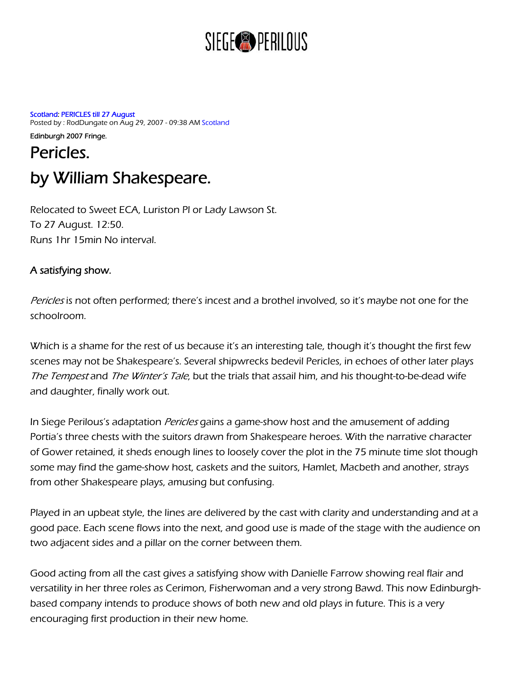## SIEGE<sup>®</sup> PERILOUS

[Scotland:](http://www.reviewsgate.com/index.php?name=News&catid=12) [PERICLES till 27 August](http://www.reviewsgate.com/index.php?name=News&file=article&sid=3604) Posted by : RodDungate on Aug 29, 2007 - 09:38 AM [Scotland](http://www.reviewsgate.com/index.php?name=News&catid=&topic=10) 

Edinburgh 2007 Fringe. Pericles. by William Shakespeare.

Relocated to Sweet ECA, Luriston Pl or Lady Lawson St. To 27 August. 12:50. Runs 1hr 15min No interval.

## A satisfying show.

Pericles is not often performed; there's incest and a brothel involved, so it's maybe not one for the schoolroom.

Which is a shame for the rest of us because it's an interesting tale, though it's thought the first few scenes may not be Shakespeare's. Several shipwrecks bedevil Pericles, in echoes of other later plays The Tempest and The Winter's Tale, but the trials that assail him, and his thought-to-be-dead wife and daughter, finally work out.

In Siege Perilous's adaptation *Pericles* gains a game-show host and the amusement of adding Portia's three chests with the suitors drawn from Shakespeare heroes. With the narrative character of Gower retained, it sheds enough lines to loosely cover the plot in the 75 minute time slot though some may find the game-show host, caskets and the suitors, Hamlet, Macbeth and another, strays from other Shakespeare plays, amusing but confusing.

Played in an upbeat style, the lines are delivered by the cast with clarity and understanding and at a good pace. Each scene flows into the next, and good use is made of the stage with the audience on two adjacent sides and a pillar on the corner between them.

Good acting from all the cast gives a satisfying show with Danielle Farrow showing real flair and versatility in her three roles as Cerimon, Fisherwoman and a very strong Bawd. This now Edinburghbased company intends to produce shows of both new and old plays in future. This is a very encouraging first production in their new home.